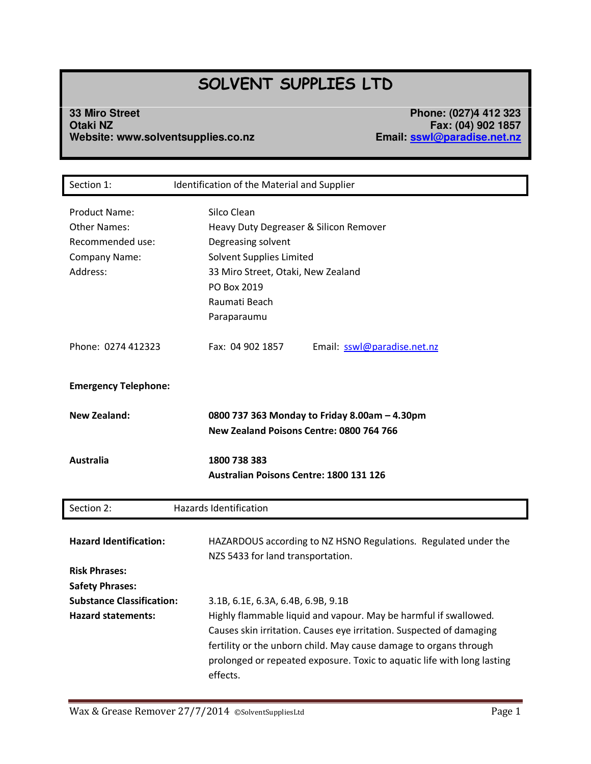# **SOLVENT SUPPLIES LTD**

**33 Miro Street Phone: (027)4 412 323 Otaki NZ Fax: (04) 902 1857 Website: www.solventsupplies.co.nz Email: [sswl@paradise.net.nz](mailto:sswl@paradise.net.nz)**

| Section 1:                                                                                          | Identification of the Material and Supplier                                                                                                                                                                                                         |
|-----------------------------------------------------------------------------------------------------|-----------------------------------------------------------------------------------------------------------------------------------------------------------------------------------------------------------------------------------------------------|
| <b>Product Name:</b><br><b>Other Names:</b><br>Recommended use:<br><b>Company Name:</b><br>Address: | Silco Clean<br>Heavy Duty Degreaser & Silicon Remover<br>Degreasing solvent<br>Solvent Supplies Limited<br>33 Miro Street, Otaki, New Zealand<br>PO Box 2019<br>Raumati Beach<br>Paraparaumu                                                        |
| Phone: 0274 412323                                                                                  | Fax: 04 902 1857<br>Email: sswl@paradise.net.nz                                                                                                                                                                                                     |
| <b>Emergency Telephone:</b>                                                                         |                                                                                                                                                                                                                                                     |
| <b>New Zealand:</b>                                                                                 | 0800 737 363 Monday to Friday 8.00am - 4.30pm<br>New Zealand Poisons Centre: 0800 764 766                                                                                                                                                           |
| <b>Australia</b>                                                                                    | 1800 738 383<br><b>Australian Poisons Centre: 1800 131 126</b>                                                                                                                                                                                      |
| Section 2:                                                                                          | <b>Hazards Identification</b>                                                                                                                                                                                                                       |
| <b>Hazard Identification:</b><br><b>Risk Phrases:</b>                                               | HAZARDOUS according to NZ HSNO Regulations. Regulated under the<br>NZS 5433 for land transportation.                                                                                                                                                |
| <b>Safety Phrases:</b><br><b>Substance Classification:</b><br><b>Hazard statements:</b>             | 3.1B, 6.1E, 6.3A, 6.4B, 6.9B, 9.1B<br>Highly flammable liquid and vapour. May be harmful if swallowed.<br>Causes skin irritation. Causes eye irritation. Suspected of damaging<br>fertility or the unborn child. May cause damage to organs through |
|                                                                                                     | prolonged or repeated exposure. Toxic to aquatic life with long lasting<br>effects.                                                                                                                                                                 |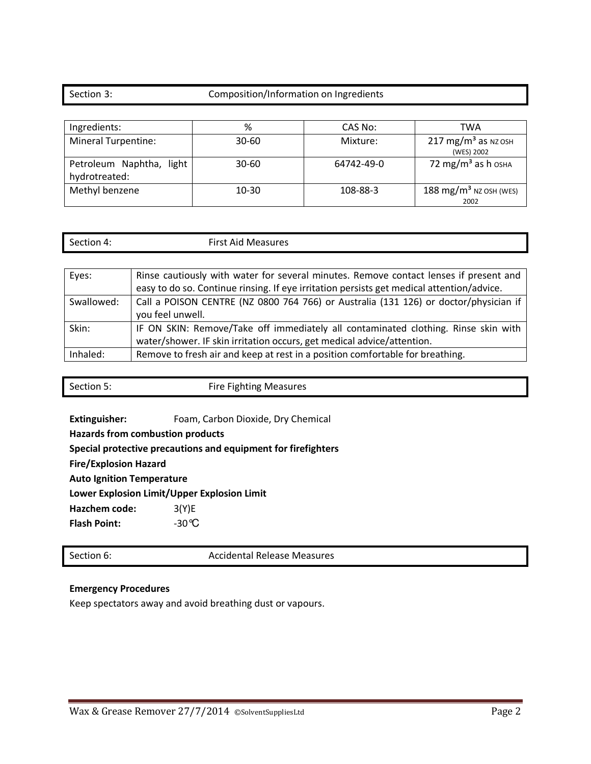### Section 3: Composition/Information on Ingredients

| Ingredients:                              | %         | CAS No:    | TWA                                          |
|-------------------------------------------|-----------|------------|----------------------------------------------|
| <b>Mineral Turpentine:</b>                | $30 - 60$ | Mixture:   | $217 \text{ mg/m}^3$ as NZ OSH<br>(WES) 2002 |
| Petroleum Naphtha, light<br>hydrotreated: | $30 - 60$ | 64742-49-0 | 72 mg/m <sup>3</sup> as h <sub>OSHA</sub>    |
| Methyl benzene                            | 10-30     | 108-88-3   | 188 mg/m <sup>3</sup> NZ OSH (WES)<br>2002   |

| $\sim$<br>Section 4: | <b>First Aid Measures</b> |  |
|----------------------|---------------------------|--|
|                      |                           |  |

| Eyes:      | Rinse cautiously with water for several minutes. Remove contact lenses if present and     |
|------------|-------------------------------------------------------------------------------------------|
|            | easy to do so. Continue rinsing. If eye irritation persists get medical attention/advice. |
| Swallowed: | Call a POISON CENTRE (NZ 0800 764 766) or Australia (131 126) or doctor/physician if      |
|            | you feel unwell.                                                                          |
| Skin:      | IF ON SKIN: Remove/Take off immediately all contaminated clothing. Rinse skin with        |
|            | water/shower. IF skin irritation occurs, get medical advice/attention.                    |
| Inhaled:   | Remove to fresh air and keep at rest in a position comfortable for breathing.             |

| Section 5: | <b>Fire Fighting Measures</b> |
|------------|-------------------------------|
|            |                               |

**Extinguisher:** Foam, Carbon Dioxide, Dry Chemical

**Hazards from combustion products** 

**Special protective precautions and equipment for firefighters** 

**Fire/Explosion Hazard** 

**Auto Ignition Temperature** 

**Lower Explosion Limit/Upper Explosion Limit** 

**Hazchem code:** 3(Y)E

Flash Point:  $-30^{\circ}$ C

Section 6: Accidental Release Measures

### **Emergency Procedures**

Keep spectators away and avoid breathing dust or vapours.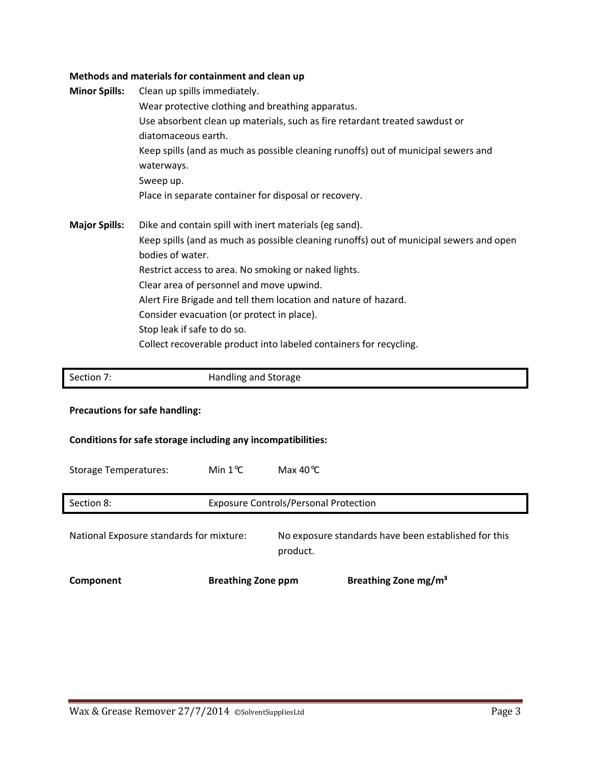## **Methods and materials for containment and clean up**

| Wear protective clothing and breathing apparatus.                                       |  |
|-----------------------------------------------------------------------------------------|--|
|                                                                                         |  |
| Use absorbent clean up materials, such as fire retardant treated sawdust or             |  |
| diatomaceous earth.                                                                     |  |
| Keep spills (and as much as possible cleaning runoffs) out of municipal sewers and      |  |
| waterways.                                                                              |  |
| Sweep up.                                                                               |  |
| Place in separate container for disposal or recovery.                                   |  |
| <b>Major Spills:</b><br>Dike and contain spill with inert materials (eg sand).          |  |
| Keep spills (and as much as possible cleaning runoffs) out of municipal sewers and open |  |
| bodies of water.                                                                        |  |
| Restrict access to area. No smoking or naked lights.                                    |  |
| Clear area of personnel and move upwind.                                                |  |
| Alert Fire Brigade and tell them location and nature of hazard.                         |  |
| Consider evacuation (or protect in place).                                              |  |
| Stop leak if safe to do so.                                                             |  |
| Collect recoverable product into labeled containers for recycling.                      |  |
|                                                                                         |  |

| Section 7:                                                   | Handling and Storage      |                                                                  |  |  |
|--------------------------------------------------------------|---------------------------|------------------------------------------------------------------|--|--|
| <b>Precautions for safe handling:</b>                        |                           |                                                                  |  |  |
| Conditions for safe storage including any incompatibilities: |                           |                                                                  |  |  |
| <b>Storage Temperatures:</b>                                 | Min $1^{\circ}$ C         | Max $40^{\circ}$ C                                               |  |  |
| Section 8:                                                   |                           | <b>Exposure Controls/Personal Protection</b>                     |  |  |
| National Exposure standards for mixture:                     |                           | No exposure standards have been established for this<br>product. |  |  |
| Component                                                    | <b>Breathing Zone ppm</b> | Breathing Zone mg/m <sup>3</sup>                                 |  |  |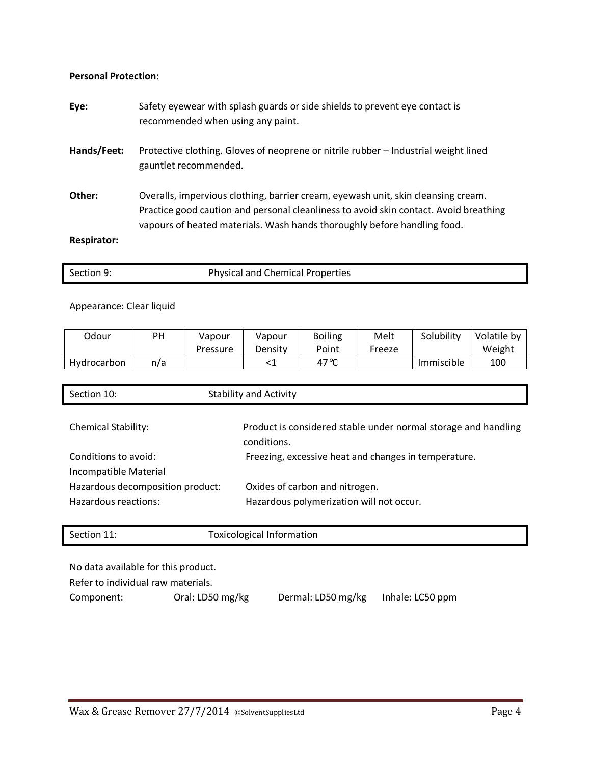### **Personal Protection:**

| Eye:               | Safety eyewear with splash guards or side shields to prevent eye contact is<br>recommended when using any paint.                                                                                                                                       |
|--------------------|--------------------------------------------------------------------------------------------------------------------------------------------------------------------------------------------------------------------------------------------------------|
| Hands/Feet:        | Protective clothing. Gloves of neoprene or nitrile rubber – Industrial weight lined<br>gauntlet recommended.                                                                                                                                           |
| Other:             | Overalls, impervious clothing, barrier cream, eyewash unit, skin cleansing cream.<br>Practice good caution and personal cleanliness to avoid skin contact. Avoid breathing<br>vapours of heated materials. Wash hands thoroughly before handling food. |
| <b>Respirator:</b> |                                                                                                                                                                                                                                                        |

| Section 9: | <b>Physical and Chemical Properties</b> |
|------------|-----------------------------------------|
|            |                                         |

### Appearance: Clear liquid

| Odour       | ΡH  | Vapour   | Vapour  | <b>Boiling</b> | Melt   | Solubility | Volatile by |
|-------------|-----|----------|---------|----------------|--------|------------|-------------|
|             |     | Pressure | Density | Point          | Freeze |            | Weight      |
| Hydrocarbon | n/a |          |         | 47℃            |        | Immiscible | 100         |

| Section 10:                                   | <b>Stability and Activity</b>                                                 |
|-----------------------------------------------|-------------------------------------------------------------------------------|
| <b>Chemical Stability:</b>                    | Product is considered stable under normal storage and handling<br>conditions. |
| Conditions to avoid:<br>Incompatible Material | Freezing, excessive heat and changes in temperature.                          |
| Hazardous decomposition product:              | Oxides of carbon and nitrogen.                                                |
| Hazardous reactions:                          | Hazardous polymerization will not occur.                                      |
|                                               |                                                                               |
| Section 11:                                   | Toxicological Information                                                     |

No data available for this product.

Refer to individual raw materials.

Component: Oral: LD50 mg/kg Dermal: LD50 mg/kg Inhale: LC50 ppm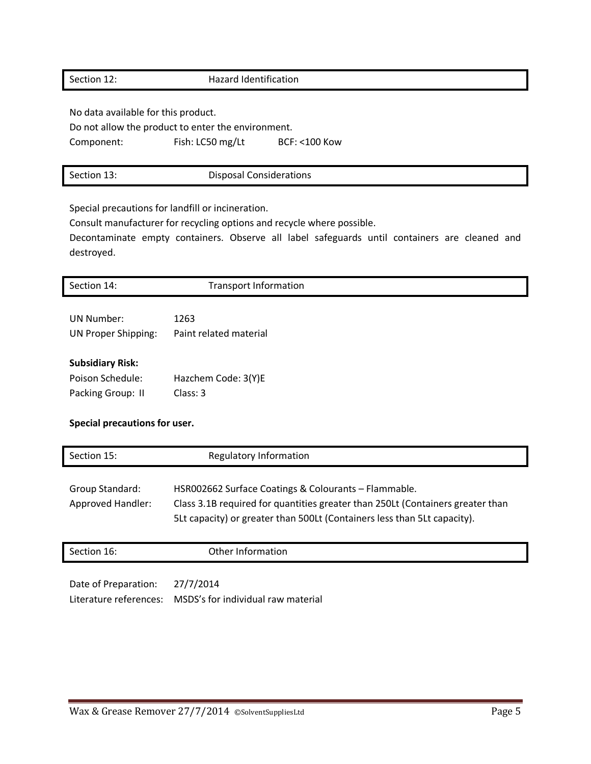### Section 12: Hazard Identification

No data available for this product.

Do not allow the product to enter the environment.

Component: Fish: LC50 mg/Lt BCF: <100 Kow

Special precautions for landfill or incineration.

Consult manufacturer for recycling options and recycle where possible.

Decontaminate empty containers. Observe all label safeguards until containers are cleaned and destroyed.

| Section 14:                   | <b>Transport Information</b>         |  |
|-------------------------------|--------------------------------------|--|
|                               |                                      |  |
| <b>UN Number:</b>             | 1263                                 |  |
| <b>UN Proper Shipping:</b>    | Paint related material               |  |
| <b>Subsidiary Risk:</b>       |                                      |  |
| Poison Schedule:              | Hazchem Code: 3(Y)E                  |  |
| Packing Group: II             | Class: 3                             |  |
| Special precautions for user. |                                      |  |
| $C = 112.4$                   | Des anderste and the famous and a se |  |

| Section 15:              | <b>Regulatory Information</b>                                                                                                                                                                                      |  |
|--------------------------|--------------------------------------------------------------------------------------------------------------------------------------------------------------------------------------------------------------------|--|
| Group Standard:          | HSR002662 Surface Coatings & Colourants - Flammable.<br>Class 3.1B required for quantities greater than 250Lt (Containers greater than<br>5Lt capacity) or greater than 500Lt (Containers less than 5Lt capacity). |  |
| <b>Approved Handler:</b> |                                                                                                                                                                                                                    |  |

Section 16: Cher Information Date of Preparation: 27/7/2014

Literature references: MSDS's for individual raw material